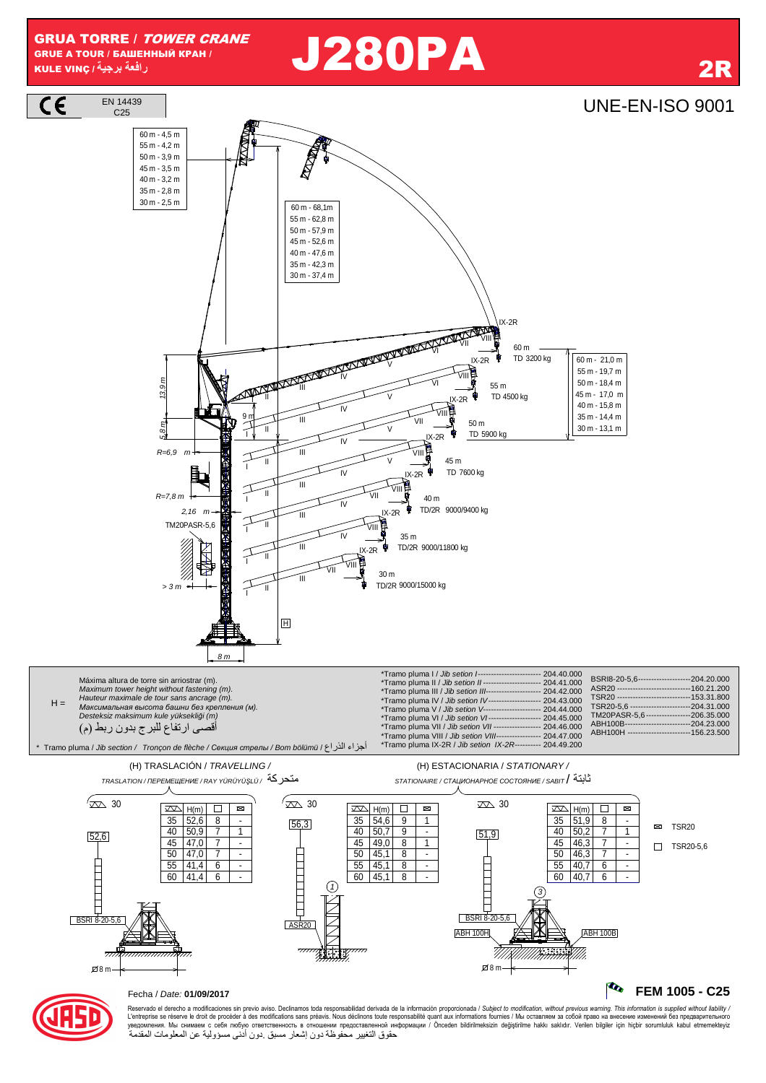# **J280PA**

## C25 UNE-EN-ISO 9001



حقوق التغيير محفوظة دون إشعار مسبق دون أدنى مسؤولية عن المعلومات المقدمة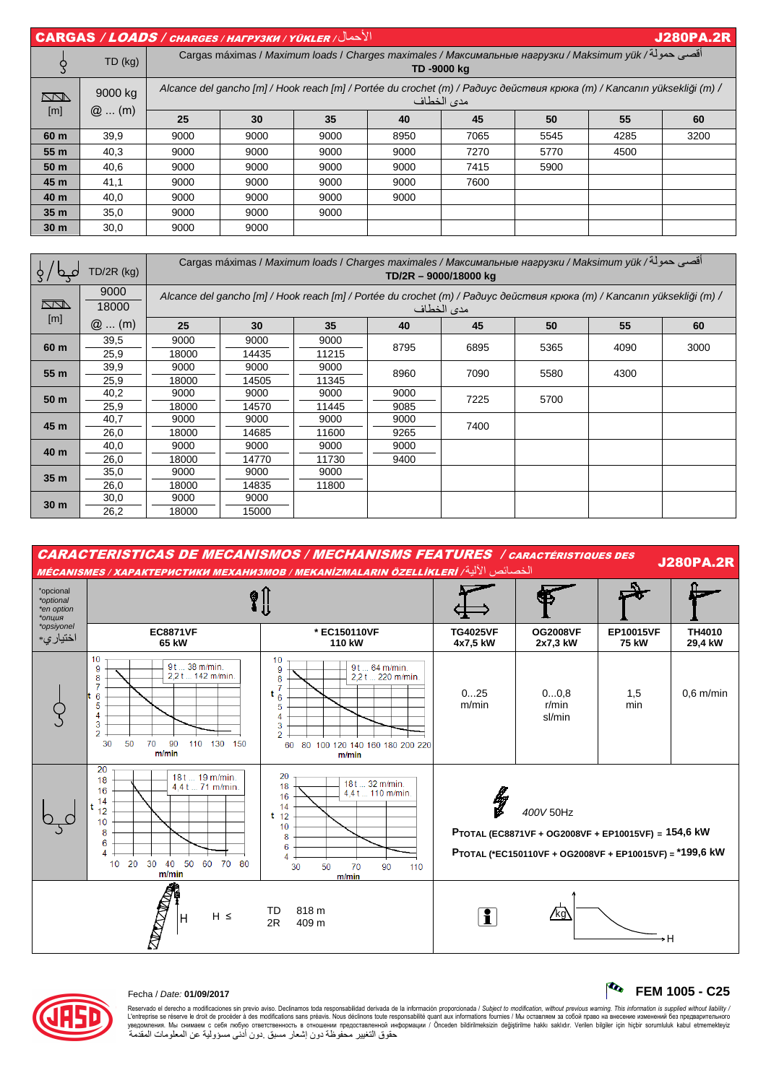| الأحمال/ CARGAS / LOADS / CHARGES / HAFPY3KW / YÜKLER<br><b>J280PA.2R</b> |                    |                                                                                                                                       |      |      |      |      |      |      |      |  |
|---------------------------------------------------------------------------|--------------------|---------------------------------------------------------------------------------------------------------------------------------------|------|------|------|------|------|------|------|--|
|                                                                           | TD (kg)            | أقصى حمولة/ Cargas máximas / Maximum loads / Charges maximales / Максимальные нагрузки / Maksimum yük<br>TD-9000 kg                   |      |      |      |      |      |      |      |  |
| $\Box$<br>[m]                                                             | 9000 kg<br>$@$ (m) | Alcance del gancho [m] / Hook reach [m] / Portée du crochet (m) / Paðuyc действия крюка (m) / Kancanın yüksekliği (m) /<br>مدى الخطاف |      |      |      |      |      |      |      |  |
|                                                                           |                    | 25                                                                                                                                    | 30   | 35   | 40   | 45   | 50   | 55   | 60   |  |
| 60 m                                                                      | 39,9               | 9000                                                                                                                                  | 9000 | 9000 | 8950 | 7065 | 5545 | 4285 | 3200 |  |
| 55 m                                                                      | 40,3               | 9000                                                                                                                                  | 9000 | 9000 | 9000 | 7270 | 5770 | 4500 |      |  |
| 50 m                                                                      | 40,6               | 9000                                                                                                                                  | 9000 | 9000 | 9000 | 7415 | 5900 |      |      |  |
| 45 m                                                                      | 41,1               | 9000                                                                                                                                  | 9000 | 9000 | 9000 | 7600 |      |      |      |  |
| 40 m                                                                      | 40,0               | 9000                                                                                                                                  | 9000 | 9000 | 9000 |      |      |      |      |  |
| 35 <sub>m</sub>                                                           | 35,0               | 9000                                                                                                                                  | 9000 | 9000 |      |      |      |      |      |  |
| 30 <sub>m</sub>                                                           | 30,0               | 9000                                                                                                                                  | 9000 |      |      |      |      |      |      |  |

| $TD/2R$ (kg)    |               | أقصى حمولة/ Cargas máximas / Maximum loads / Charges maximales / Максимальные нагрузки / Maksimum yük<br>TD/2R - 9000/18000 kg        |       |       |      |      |      |      |      |  |  |
|-----------------|---------------|---------------------------------------------------------------------------------------------------------------------------------------|-------|-------|------|------|------|------|------|--|--|
| $\Box$          | 9000<br>18000 | Alcance del gancho [m] / Hook reach [m] / Portée du crochet (m) / Радиус действия крюка (m) / Kancanın yüksekliği (m) /<br>مدى الخطاف |       |       |      |      |      |      |      |  |  |
| [m]             | $@$ (m)       | 25                                                                                                                                    | 30    | 35    | 40   | 45   | 50   | 55   | 60   |  |  |
| 60 m            | 39,5          | 9000                                                                                                                                  | 9000  | 9000  | 8795 | 6895 | 5365 | 4090 | 3000 |  |  |
|                 | 25,9          | 18000                                                                                                                                 | 14435 | 11215 |      |      |      |      |      |  |  |
| 55 m            | 39,9          | 9000                                                                                                                                  | 9000  | 9000  | 8960 | 7090 | 5580 | 4300 |      |  |  |
|                 | 25,9          | 18000                                                                                                                                 | 14505 | 11345 |      |      |      |      |      |  |  |
| 50 m            | 40,2          | 9000                                                                                                                                  | 9000  | 9000  | 9000 | 7225 | 5700 |      |      |  |  |
|                 | 25,9          | 18000                                                                                                                                 | 14570 | 11445 | 9085 |      |      |      |      |  |  |
| 45 m            | 40,7          | 9000                                                                                                                                  | 9000  | 9000  | 9000 | 7400 |      |      |      |  |  |
|                 | 26,0          | 18000                                                                                                                                 | 14685 | 11600 | 9265 |      |      |      |      |  |  |
| 40 m            | 40,0          | 9000                                                                                                                                  | 9000  | 9000  | 9000 |      |      |      |      |  |  |
|                 | 26,0          | 18000                                                                                                                                 | 14770 | 11730 | 9400 |      |      |      |      |  |  |
| 35 <sub>m</sub> | 35,0          | 9000                                                                                                                                  | 9000  | 9000  |      |      |      |      |      |  |  |
|                 | 26,0          | 18000                                                                                                                                 | 14835 | 11800 |      |      |      |      |      |  |  |
| 30 <sub>m</sub> | 30,0          | 9000                                                                                                                                  | 9000  |       |      |      |      |      |      |  |  |
|                 | 26,2          | 18000                                                                                                                                 | 15000 |       |      |      |      |      |      |  |  |





### Fecha / Date: **01/09/2017 FEM 1005 - C25**

Reservado el derecho a modificaciones sin previo aviso. Declinamos toda responsabilidad derivada de la información proporcionada / Subjec*t to modification, without previous warning. This information is supplied without l* حقوق التغيير محفوظة دون إشعار مسبق دون أدنى مسؤولية عن المعلومات المقدمة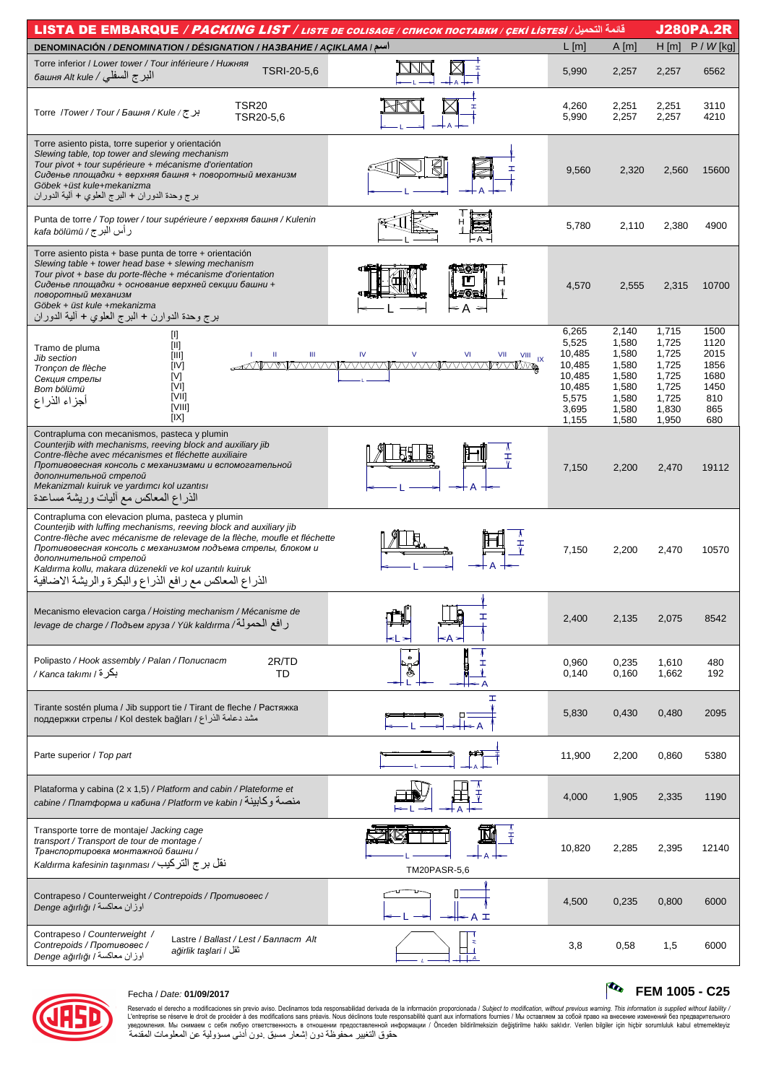| <b>J280PA.2R</b><br>قائمة التحميل/ LISTA DE EMBARQUE / PACKING LIST / LISTE DE COLISAGE / CПИСОК ПОСТАВКИ / ÇEKİ LISTESİ                                                                                                                                                                                                                                                                                             |              |                                                                                   |                                                                               |                                                                               |                                                                   |  |  |  |  |
|----------------------------------------------------------------------------------------------------------------------------------------------------------------------------------------------------------------------------------------------------------------------------------------------------------------------------------------------------------------------------------------------------------------------|--------------|-----------------------------------------------------------------------------------|-------------------------------------------------------------------------------|-------------------------------------------------------------------------------|-------------------------------------------------------------------|--|--|--|--|
| <b>DENOMINACIÓN / DENOMINATION / DÉSIGNATION / HA3BAHHE / AÇIKLAMA   اسم</b>                                                                                                                                                                                                                                                                                                                                         |              | $L$ [m]                                                                           | A[m]                                                                          | H[m]                                                                          | $P / W$ [kg]                                                      |  |  |  |  |
| Torre inferior / Lower tower / Tour inférieure / Нижняя<br>TSRI-20-5,6<br>البر ج السفلي / башня Alt kule                                                                                                                                                                                                                                                                                                             |              | 5,990                                                                             | 2,257                                                                         | 2,257                                                                         | 6562                                                              |  |  |  |  |
| <b>TSR20</b><br>برج/Kule/ج / Torre /Tower/Tour/Башня / Kule<br>TSR20-5.6                                                                                                                                                                                                                                                                                                                                             |              | 4,260<br>5,990                                                                    | 2,251<br>2,257                                                                | 2,251<br>2,257                                                                | 3110<br>4210                                                      |  |  |  |  |
| Torre asiento pista, torre superior y orientación<br>Slewing table, top tower and slewing mechanism<br>Tour pivot + tour supérieure + mécanisme d'orientation<br>Сиденье площадки + верхняя башня + поворотный механизм<br>Göbek +üst kule+mekanizma<br>برج وحدة الدوران + البرج العلوي + ألية الدوران                                                                                                               | €            | 9,560                                                                             | 2,320                                                                         | 2,560                                                                         | 15600                                                             |  |  |  |  |
| Punta de torre / Top tower / tour supérieure / верхняя башня / Kulenin<br>رأس البرج / kafa bölümü                                                                                                                                                                                                                                                                                                                    |              | 5,780                                                                             | 2,110                                                                         | 2,380                                                                         | 4900                                                              |  |  |  |  |
| Torre asiento pista + base punta de torre + orientación<br>Slewing table + tower head base + slewing mechanism<br>Tour pivot + base du porte-flèche + mécanisme d'orientation<br>Сиденье площадки + основание верхней секции башни +<br>поворотный механизм<br>Göbek + üst kule +mekanizma<br>برج وحدة الدوارن + البرج العلوي + ألية الدوران                                                                         | ≤ A          | 4,570                                                                             | 2,555                                                                         | 2,315                                                                         | 10700                                                             |  |  |  |  |
| [I]<br>$[11]$<br>Tramo de pluma<br>[III]<br>Ш<br>Ш<br><b>Jib section</b><br>[IV]<br>Tronçon de flèche<br>[V]<br>Секция стрелы<br>[VI]<br>Bom bölümü<br>[VII]<br>أجزاء الذراع<br>[VIII]<br>[IX]                                                                                                                                                                                                                       | VI<br>VIII   | 6,265<br>5,525<br>10,485<br>10,485<br>10,485<br>10,485<br>5,575<br>3,695<br>1,155 | 2,140<br>1,580<br>1,580<br>1,580<br>1,580<br>1,580<br>1,580<br>1,580<br>1,580 | 1,715<br>1,725<br>1,725<br>1,725<br>1,725<br>1,725<br>1,725<br>1,830<br>1,950 | 1500<br>1120<br>2015<br>1856<br>1680<br>1450<br>810<br>865<br>680 |  |  |  |  |
| Contrapluma con mecanismos, pasteca y plumin<br>Counterjib with mechanisms, reeving block and auxiliary jib<br>Contre-flèche avec mécanismes et fléchette auxiliaire<br>Противовесная консоль с механизмами и вспомогательной<br>дополнительной стрелой<br>Mekanizmalı kuiruk ve yardımcı kol uzantısı<br>الذراع المعاكس مع أليات وريشة مساعدة                                                                       |              | 7,150                                                                             | 2,200                                                                         | 2,470                                                                         | 19112                                                             |  |  |  |  |
| Contrapluma con elevacion pluma, pasteca y plumin<br>Counterjib with luffing mechanisms, reeving block and auxiliary jib<br>Contre-flèche avec mécanisme de relevage de la flèche, moufle et fléchette<br>Противовесная консоль с механизмом подъема стрелы, блоком и<br>дополнительной стрелой<br>Kaldırma kollu, makara düzenekli ve kol uzantılı kuiruk<br>الذراع المعاكس مع رافع الذراع والبكرة والريشة الاضافية |              | 7,150                                                                             | 2,200                                                                         | 2,470                                                                         | 10570                                                             |  |  |  |  |
| Mecanismo elevacion carga / Hoisting mechanism / Mécanisme de<br>ر افع الحمولة/ levage de charge / Подъем груза / Yük kaldırma                                                                                                                                                                                                                                                                                       | ٢A           | 2,400                                                                             | 2,135                                                                         | 2,075                                                                         | 8542                                                              |  |  |  |  |
| Polipasto / Hook assembly / Palan / Полиспаст<br>2R/TD<br>بكرة / Kanca takımı /<br>TD                                                                                                                                                                                                                                                                                                                                | ۵<br>I       | 0,960<br>0,140                                                                    | 0,235<br>0,160                                                                | 1,610<br>1,662                                                                | 480<br>192                                                        |  |  |  |  |
| Tirante sostén pluma / Jib support tie / Tirant de fleche / Растяжка<br>مشد دعامة الذراع / поддержки стрелы / Kol destek bağları                                                                                                                                                                                                                                                                                     | Œ.           | 5,830                                                                             | 0,430                                                                         | 0,480                                                                         | 2095                                                              |  |  |  |  |
| Parte superior / Top part                                                                                                                                                                                                                                                                                                                                                                                            |              | 11,900                                                                            | 2,200                                                                         | 0,860                                                                         | 5380                                                              |  |  |  |  |
| Plataforma y cabina (2 x 1,5) / Platform and cabin / Plateforme et<br>саbine / Платформа и кабина / Platform ve kabin / منصبة وكابينة                                                                                                                                                                                                                                                                                |              | 4,000                                                                             | 1,905                                                                         | 2,335                                                                         | 1190                                                              |  |  |  |  |
| Transporte torre de montaje/ Jacking cage<br>transport / Transport de tour de montage /<br>Транспортировка монтажной башни /<br>نقل برج التركيب/ Kaldırma kafesinin taşınması                                                                                                                                                                                                                                        | TM20PASR-5,6 | 10,820                                                                            | 2,285                                                                         | 2,395                                                                         | 12140                                                             |  |  |  |  |
| Contrapeso / Counterweight / Contrepoids / Противовес /<br>اوزان معاكسة / Denge ağırlığı                                                                                                                                                                                                                                                                                                                             | ╬ А ∓        | 4,500                                                                             | 0,235                                                                         | 0,800                                                                         | 6000                                                              |  |  |  |  |
| Contrapeso / Counterweight /<br>Lastre / Ballast / Lest / Балласт Alt<br>Contrepoids / Противовес /<br>ağirlik taşlari / ثقل<br>اوزان معاكسة / Denge ağırlığı                                                                                                                                                                                                                                                        |              | 3,8                                                                               | 0,58                                                                          | 1,5                                                                           | 6000                                                              |  |  |  |  |



# Fecha / Date: **01/09/2017 FEM 1005 - C25**

Reservado el derecho a modificaciones sin previo aviso. Declinamos toda responsabilidad derivada de la información proporcionada / Subjec*t to modification, without previous warning. This information is supplied without*